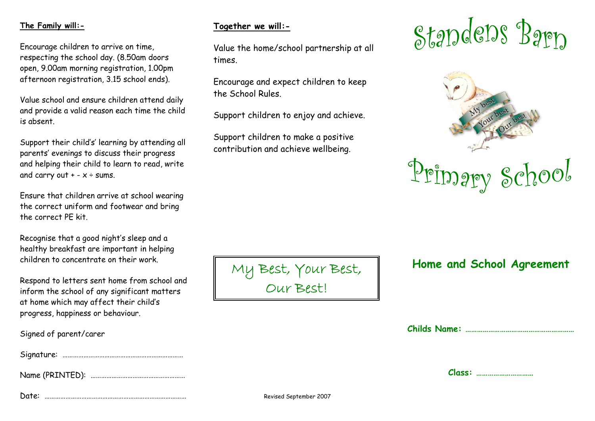## **The Family will:-**

Encourage children to arrive on time, respecting the school day. (8.50am doors open, 9.00am morning registration, 1.00pm afternoon registration, 3.15 school ends).

Value school and ensure children attend daily and provide <sup>a</sup> valid reason each time the child is absent.

Support their child's' learning by attending all parents' evenings to discuss their progress and helping their child to learn to read, write and carry out + -  $\times$  ÷ sums.

Ensure that children arrive at school wearing the correct uniform and footwear and bring the correct PE kit.

Recognise that <sup>a</sup> good night's sleep and <sup>a</sup> healthy breakfast are important in helping children to concentrate on their work.

Respond to letters sent home from school and inform the school of any significant matters at home which may affect their child's progress, happiness or behaviour.

| Signed of parent/carer |                        |  |
|------------------------|------------------------|--|
|                        |                        |  |
|                        |                        |  |
| Date:                  | Revised September 2007 |  |

## **Together we will:-**

Value the home/school partnership at all times.

Encourage and expec<sup>t</sup> children to keep the School Rules.

Support children to enjoy and achieve.

Support children to make <sup>a</sup> positive contribution and achieve wellbeing.

# Standens Barn



## **Home and School Agreement**

**Childs Name: …………………………………………………**

| . .<br>÷<br>٠<br>. .<br>v. | .<br> |
|----------------------------|-------|
|----------------------------|-------|

My Best, Your Best,

Our Best!